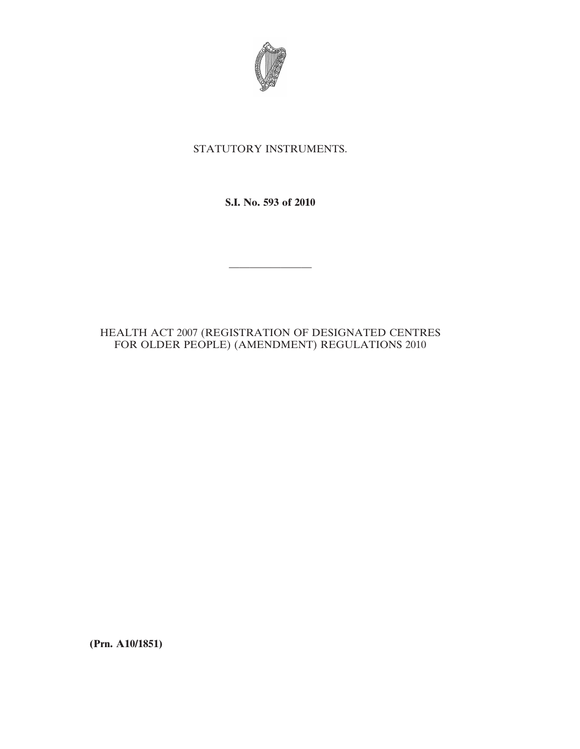

# STATUTORY INSTRUMENTS.

**S.I. No. 593 of 2010**

————————

# HEALTH ACT 2007 (REGISTRATION OF DESIGNATED CENTRES FOR OLDER PEOPLE) (AMENDMENT) REGULATIONS 2010

**(Prn. A10/1851)**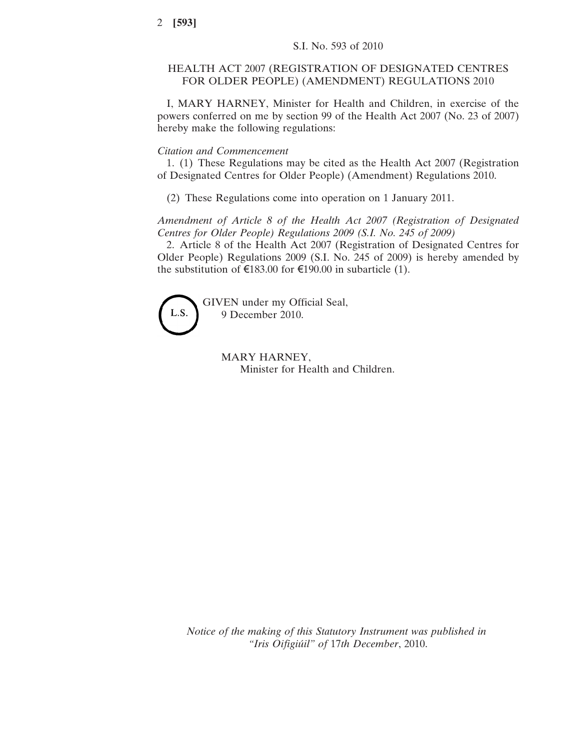## HEALTH ACT 2007 (REGISTRATION OF DESIGNATED CENTRES FOR OLDER PEOPLE) (AMENDMENT) REGULATIONS 2010

I, MARY HARNEY, Minister for Health and Children, in exercise of the powers conferred on me by section 99 of the Health Act 2007 (No. 23 of 2007) hereby make the following regulations:

## *Citation and Commencement*

1. (1) These Regulations may be cited as the Health Act 2007 (Registration of Designated Centres for Older People) (Amendment) Regulations 2010.

(2) These Regulations come into operation on 1 January 2011.

*Amendment of Article 8 of the Health Act 2007 (Registration of Designated Centres for Older People) Regulations 2009 (S.I. No. 245 of 2009)*

2. Article 8 of the Health Act 2007 (Registration of Designated Centres for Older People) Regulations 2009 (S.I. No. 245 of 2009) is hereby amended by the substitution of  $\epsilon$ 183.00 for  $\epsilon$ 190.00 in subarticle (1).



GIVEN under my Official Seal, 9 December 2010.

> MARY HARNEY, Minister for Health and Children.

*Notice of the making of this Statutory Instrument was published in "Iris Oifigiúil" of* 17*th December*, 2010.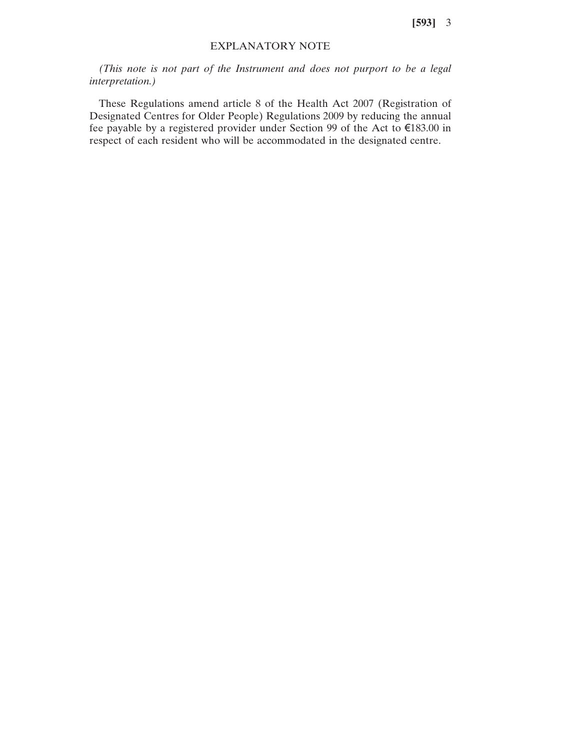**[593]** 3

## EXPLANATORY NOTE

*(This note is not part of the Instrument and does not purport to be a legal interpretation.)*

These Regulations amend article 8 of the Health Act 2007 (Registration of Designated Centres for Older People) Regulations 2009 by reducing the annual fee payable by a registered provider under Section 99 of the Act to €183.00 in respect of each resident who will be accommodated in the designated centre.